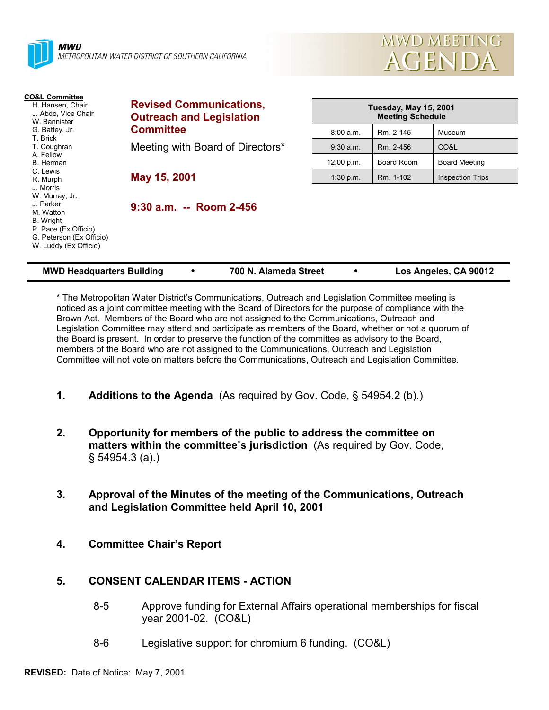| METROPOLITAN WATER DISTRICT OF SOUTHERN CALIFORNIA                                                                                                     | AGENDA                                                            |                                                  |            |                         |  |
|--------------------------------------------------------------------------------------------------------------------------------------------------------|-------------------------------------------------------------------|--------------------------------------------------|------------|-------------------------|--|
| <b>CO&amp;L Committee</b><br>H. Hansen, Chair<br>J. Abdo, Vice Chair<br>W. Bannister                                                                   | <b>Revised Communications,</b><br><b>Outreach and Legislation</b> | Tuesday, May 15, 2001<br><b>Meeting Schedule</b> |            |                         |  |
| G. Battey, Jr.<br>T. Brick                                                                                                                             | <b>Committee</b>                                                  | 8:00 a.m.                                        | Rm. 2-145  | Museum                  |  |
| T. Coughran                                                                                                                                            | Meeting with Board of Directors*                                  | $9:30$ a.m.                                      | Rm. 2-456  | CO&L                    |  |
| A. Fellow<br>B. Herman                                                                                                                                 |                                                                   | 12:00 p.m.                                       | Board Room | <b>Board Meeting</b>    |  |
| C. Lewis<br>R. Murph                                                                                                                                   | May 15, 2001                                                      | 1:30 p.m.                                        | Rm. 1-102  | <b>Inspection Trips</b> |  |
| J. Morris<br>W. Murray, Jr.<br>J. Parker<br>M. Watton<br><b>B.</b> Wright<br>P. Pace (Ex Officio)<br>G. Peterson (Ex Officio)<br>W. Luddy (Ex Officio) | $9:30$ a.m. -- Room 2-456                                         |                                                  |            |                         |  |

**MWD MEETING** 

| <b>MWD Headquarters Building</b> |  | 700 N. Alameda Street |  | Los Angeles, CA 90012 |
|----------------------------------|--|-----------------------|--|-----------------------|
|----------------------------------|--|-----------------------|--|-----------------------|

\* The Metropolitan Water Districtís Communications, Outreach and Legislation Committee meeting is noticed as a joint committee meeting with the Board of Directors for the purpose of compliance with the Brown Act. Members of the Board who are not assigned to the Communications, Outreach and Legislation Committee may attend and participate as members of the Board, whether or not a quorum of the Board is present. In order to preserve the function of the committee as advisory to the Board, members of the Board who are not assigned to the Communications, Outreach and Legislation Committee will not vote on matters before the Communications, Outreach and Legislation Committee.

- **1. Additions to the Agenda** (As required by Gov. Code, ß 54954.2 (b).)
- **2. Opportunity for members of the public to address the committee on** matters within the committee's jurisdiction (As required by Gov. Code,  $$54954.3 (a)$ .
- **3. Approval of the Minutes of the meeting of the Communications, Outreach and Legislation Committee held April 10, 2001**
- **4. Committee Chairís Report**

# **5. CONSENT CALENDAR ITEMS - ACTION**

- 8-5 Approve funding for External Affairs operational memberships for fiscal year 2001-02. (CO&L)
- 8-6 Legislative support for chromium 6 funding. (CO&L)

**TTI** MWD